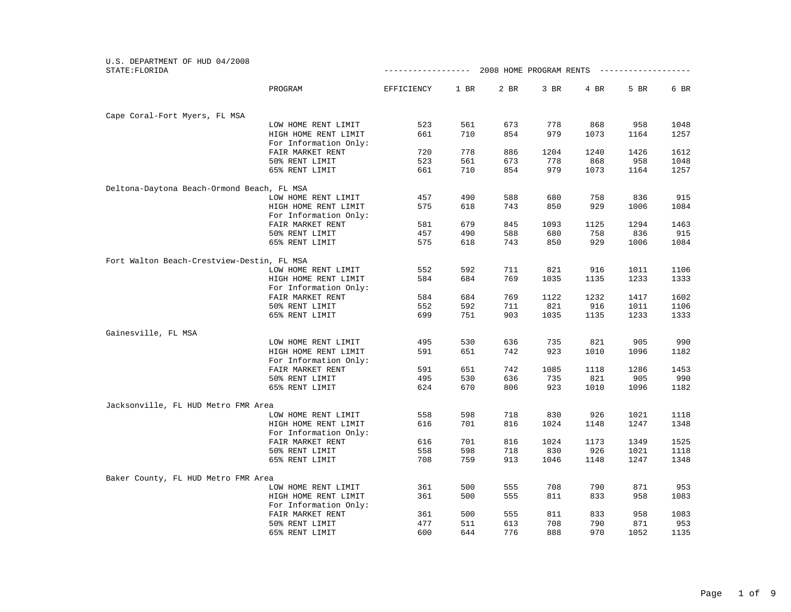| U.S. DEPARTMENT OF HUD 04/2008<br>STATE: FLORIDA |                       | ---------------- |      |      | 2008 HOME PROGRAM RENTS |      | -------------- |      |
|--------------------------------------------------|-----------------------|------------------|------|------|-------------------------|------|----------------|------|
|                                                  | PROGRAM               | EFFICIENCY       | 1 BR | 2 BR | 3 BR                    | 4 BR | 5 BR           | 6 BR |
|                                                  |                       |                  |      |      |                         |      |                |      |
| Cape Coral-Fort Myers, FL MSA                    |                       |                  |      |      |                         |      |                |      |
|                                                  | LOW HOME RENT LIMIT   | 523              | 561  | 673  | 778                     | 868  | 958            | 1048 |
|                                                  | HIGH HOME RENT LIMIT  | 661              | 710  | 854  | 979                     | 1073 | 1164           | 1257 |
|                                                  | For Information Only: |                  |      |      |                         |      |                |      |
|                                                  | FAIR MARKET RENT      | 720              | 778  | 886  | 1204                    | 1240 | 1426           | 1612 |
|                                                  | 50% RENT LIMIT        | 523              | 561  | 673  | 778                     | 868  | 958            | 1048 |
|                                                  | 65% RENT LIMIT        | 661              | 710  | 854  | 979                     | 1073 | 1164           | 1257 |
| Deltona-Daytona Beach-Ormond Beach, FL MSA       |                       |                  |      |      |                         |      |                |      |
|                                                  | LOW HOME RENT LIMIT   | 457              | 490  | 588  | 680                     | 758  | 836            | 915  |
|                                                  | HIGH HOME RENT LIMIT  | 575              | 618  | 743  | 850                     | 929  | 1006           | 1084 |
|                                                  | For Information Only: |                  |      |      |                         |      |                |      |
|                                                  | FAIR MARKET RENT      | 581              | 679  | 845  | 1093                    | 1125 | 1294           | 1463 |
|                                                  | 50% RENT LIMIT        | 457              | 490  | 588  | 680                     | 758  | 836            | 915  |
|                                                  | 65% RENT LIMIT        | 575              | 618  | 743  | 850                     | 929  | 1006           | 1084 |
| Fort Walton Beach-Crestview-Destin, FL MSA       |                       |                  |      |      |                         |      |                |      |
|                                                  | LOW HOME RENT LIMIT   | 552              | 592  | 711  | 821                     | 916  | 1011           | 1106 |
|                                                  | HIGH HOME RENT LIMIT  | 584              | 684  | 769  | 1035                    | 1135 | 1233           | 1333 |
|                                                  | For Information Only: |                  |      |      |                         |      |                |      |
|                                                  | FAIR MARKET RENT      | 584              | 684  | 769  | 1122                    | 1232 | 1417           | 1602 |
|                                                  | 50% RENT LIMIT        | 552              | 592  | 711  | 821                     | 916  | 1011           | 1106 |
|                                                  | 65% RENT LIMIT        | 699              | 751  | 903  | 1035                    | 1135 | 1233           | 1333 |
|                                                  |                       |                  |      |      |                         |      |                |      |
| Gainesville, FL MSA                              |                       |                  |      |      |                         |      |                |      |
|                                                  | LOW HOME RENT LIMIT   | 495              | 530  | 636  | 735                     | 821  | 905            | 990  |
|                                                  | HIGH HOME RENT LIMIT  | 591              | 651  | 742  | 923                     | 1010 | 1096           | 1182 |
|                                                  | For Information Only: |                  |      |      |                         |      |                |      |
|                                                  | FAIR MARKET RENT      | 591              | 651  | 742  | 1085                    | 1118 | 1286           | 1453 |
|                                                  | 50% RENT LIMIT        | 495              | 530  | 636  | 735                     | 821  | 905            | 990  |
|                                                  | 65% RENT LIMIT        | 624              | 670  | 806  | 923                     | 1010 | 1096           | 1182 |
| Jacksonville, FL HUD Metro FMR Area              |                       |                  |      |      |                         |      |                |      |
|                                                  | LOW HOME RENT LIMIT   | 558              | 598  | 718  | 830                     | 926  | 1021           | 1118 |
|                                                  | HIGH HOME RENT LIMIT  | 616              | 701  | 816  | 1024                    | 1148 | 1247           | 1348 |
|                                                  | For Information Only: |                  |      |      |                         |      |                |      |
|                                                  | FAIR MARKET RENT      | 616              | 701  | 816  | 1024                    | 1173 | 1349           | 1525 |
|                                                  | 50% RENT LIMIT        | 558              | 598  | 718  | 830                     | 926  | 1021           | 1118 |
|                                                  | 65% RENT LIMIT        | 708              | 759  | 913  | 1046                    | 1148 | 1247           | 1348 |
| Baker County, FL HUD Metro FMR Area              |                       |                  |      |      |                         |      |                |      |
|                                                  | LOW HOME RENT LIMIT   | 361              | 500  | 555  | 708                     | 790  | 871            | 953  |
|                                                  | HIGH HOME RENT LIMIT  | 361              | 500  | 555  | 811                     | 833  | 958            | 1083 |
|                                                  | For Information Only: |                  |      |      |                         |      |                |      |
|                                                  | FAIR MARKET RENT      | 361              | 500  | 555  | 811                     | 833  | 958            | 1083 |
|                                                  | 50% RENT LIMIT        | 477              | 511  | 613  | 708                     | 790  | 871            | 953  |
|                                                  | 65% RENT LIMIT        | 600              | 644  | 776  | 888                     | 970  | 1052           | 1135 |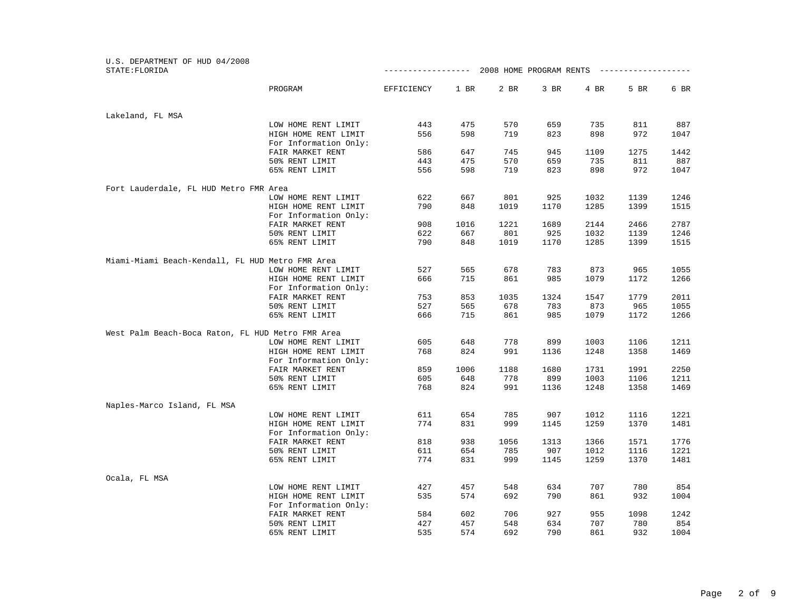| U.S. DEPARTMENT OF HUD 04/2008<br>STATE: FLORIDA  |                                               | ------------------ |            |             | 2008 HOME PROGRAM RENTS |             | _____________________ |              |
|---------------------------------------------------|-----------------------------------------------|--------------------|------------|-------------|-------------------------|-------------|-----------------------|--------------|
|                                                   |                                               |                    |            |             |                         |             |                       |              |
|                                                   | PROGRAM                                       | EFFICIENCY         | 1 BR       | 2 BR        | 3 BR                    | 4 BR        | 5 BR                  | 6 BR         |
| Lakeland, FL MSA                                  |                                               |                    |            |             |                         |             |                       |              |
|                                                   | LOW HOME RENT LIMIT                           | 443                | 475        | 570         | 659                     | 735         | 811                   | 887          |
|                                                   | HIGH HOME RENT LIMIT                          | 556                | 598        | 719         | 823                     | 898         | 972                   | 1047         |
|                                                   | For Information Only:                         |                    |            |             |                         |             |                       |              |
|                                                   | FAIR MARKET RENT                              | 586                | 647        | 745         | 945                     | 1109        | 1275                  | 1442         |
|                                                   | 50% RENT LIMIT                                | 443                | 475        | 570         | 659                     | 735         | 811                   | 887          |
|                                                   | 65% RENT LIMIT                                | 556                | 598        | 719         | 823                     | 898         | 972                   | 1047         |
| Fort Lauderdale, FL HUD Metro FMR Area            |                                               |                    |            |             |                         |             |                       |              |
|                                                   | LOW HOME RENT LIMIT                           | 622                | 667        | 801         | 925                     | 1032        | 1139                  | 1246         |
|                                                   | HIGH HOME RENT LIMIT<br>For Information Only: | 790                | 848        | 1019        | 1170                    | 1285        | 1399                  | 1515         |
|                                                   | FAIR MARKET RENT                              | 908                | 1016       | 1221        | 1689                    | 2144        | 2466                  | 2787         |
|                                                   | 50% RENT LIMIT                                | 622                | 667        | 801         | 925                     | 1032        | 1139                  | 1246         |
|                                                   | 65% RENT LIMIT                                | 790                | 848        | 1019        | 1170                    | 1285        | 1399                  | 1515         |
| Miami-Miami Beach-Kendall, FL HUD Metro FMR Area  |                                               |                    |            |             |                         |             |                       |              |
|                                                   | LOW HOME RENT LIMIT                           | 527                | 565        | 678         | 783                     | 873         | 965                   | 1055         |
|                                                   | HIGH HOME RENT LIMIT                          | 666                | 715        | 861         | 985                     | 1079        | 1172                  | 1266         |
|                                                   | For Information Only:                         |                    |            |             |                         |             |                       |              |
|                                                   | FAIR MARKET RENT<br>50% RENT LIMIT            | 753<br>527         | 853<br>565 | 1035<br>678 | 1324<br>783             | 1547<br>873 | 1779<br>965           | 2011<br>1055 |
|                                                   | 65% RENT LIMIT                                | 666                | 715        | 861         | 985                     | 1079        | 1172                  | 1266         |
| West Palm Beach-Boca Raton, FL HUD Metro FMR Area |                                               |                    |            |             |                         |             |                       |              |
|                                                   | LOW HOME RENT LIMIT                           | 605                | 648        | 778         | 899                     | 1003        | 1106                  | 1211         |
|                                                   | HIGH HOME RENT LIMIT                          | 768                | 824        | 991         | 1136                    | 1248        | 1358                  | 1469         |
|                                                   | For Information Only:                         |                    |            |             |                         |             |                       |              |
|                                                   | FAIR MARKET RENT                              | 859                | 1006       | 1188        | 1680                    | 1731        | 1991                  | 2250         |
|                                                   | 50% RENT LIMIT                                | 605                | 648        | 778         | 899                     | 1003        | 1106                  | 1211         |
|                                                   | 65% RENT LIMIT                                | 768                | 824        | 991         | 1136                    | 1248        | 1358                  | 1469         |
| Naples-Marco Island, FL MSA                       |                                               |                    |            |             |                         |             |                       |              |
|                                                   | LOW HOME RENT LIMIT                           | 611                | 654        | 785         | 907                     | 1012        | 1116                  | 1221         |
|                                                   | HIGH HOME RENT LIMIT                          | 774                | 831        | 999         | 1145                    | 1259        | 1370                  | 1481         |
|                                                   | For Information Only:                         |                    |            |             |                         |             |                       |              |
|                                                   | FAIR MARKET RENT                              | 818                | 938        | 1056        | 1313                    | 1366        | 1571                  | 1776         |
|                                                   | 50% RENT LIMIT                                | 611                | 654        | 785         | 907                     | 1012        | 1116                  | 1221         |
|                                                   | 65% RENT LIMIT                                | 774                | 831        | 999         | 1145                    | 1259        | 1370                  | 1481         |
| Ocala, FL MSA                                     |                                               |                    |            |             |                         |             |                       |              |
|                                                   | LOW HOME RENT LIMIT                           | 427                | 457        | 548         | 634                     | 707         | 780                   | 854          |
|                                                   | HIGH HOME RENT LIMIT                          | 535                | 574        | 692         | 790                     | 861         | 932                   | 1004         |
|                                                   | For Information Only:                         |                    |            |             |                         |             |                       |              |
|                                                   | FAIR MARKET RENT                              | 584                | 602        | 706         | 927                     | 955         | 1098                  | 1242         |
|                                                   | 50% RENT LIMIT                                | 427                | 457        | 548         | 634                     | 707         | 780                   | 854          |
|                                                   | 65% RENT LIMIT                                | 535                | 574        | 692         | 790                     | 861         | 932                   | 1004         |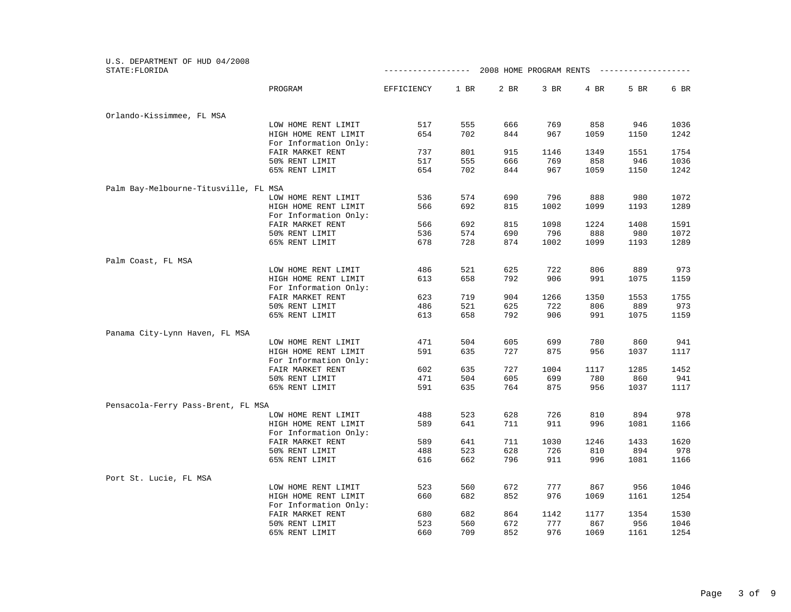| U.S. DEPARTMENT OF HUD 04/2008<br>STATE: FLORIDA |                                               | ------------------ |      |      | 2008 HOME PROGRAM RENTS |      | -------------- |      |
|--------------------------------------------------|-----------------------------------------------|--------------------|------|------|-------------------------|------|----------------|------|
|                                                  |                                               |                    |      |      |                         |      |                |      |
|                                                  | PROGRAM                                       | EFFICIENCY         | 1 BR | 2 BR | 3 BR                    | 4 BR | 5 BR           | 6 BR |
| Orlando-Kissimmee, FL MSA                        |                                               |                    |      |      |                         |      |                |      |
|                                                  | LOW HOME RENT LIMIT                           | 517                | 555  | 666  | 769                     | 858  | 946            | 1036 |
|                                                  | HIGH HOME RENT LIMIT                          | 654                | 702  | 844  | 967                     | 1059 | 1150           | 1242 |
|                                                  | For Information Only:                         |                    |      |      |                         |      |                |      |
|                                                  | FAIR MARKET RENT                              | 737                | 801  | 915  | 1146                    | 1349 | 1551           | 1754 |
|                                                  | 50% RENT LIMIT                                | 517                | 555  | 666  | 769                     | 858  | 946            | 1036 |
|                                                  | 65% RENT LIMIT                                | 654                | 702  | 844  | 967                     | 1059 | 1150           | 1242 |
| Palm Bay-Melbourne-Titusville, FL MSA            |                                               |                    |      |      |                         |      |                |      |
|                                                  | LOW HOME RENT LIMIT                           | 536                | 574  | 690  | 796                     | 888  | 980            | 1072 |
|                                                  | HIGH HOME RENT LIMIT<br>For Information Only: | 566                | 692  | 815  | 1002                    | 1099 | 1193           | 1289 |
|                                                  | FAIR MARKET RENT                              | 566                | 692  | 815  | 1098                    | 1224 | 1408           | 1591 |
|                                                  | 50% RENT LIMIT                                | 536                | 574  | 690  | 796                     | 888  | 980            | 1072 |
|                                                  | 65% RENT LIMIT                                | 678                | 728  | 874  | 1002                    | 1099 | 1193           | 1289 |
|                                                  |                                               |                    |      |      |                         |      |                |      |
| Palm Coast, FL MSA                               |                                               | 486                | 521  | 625  | 722                     | 806  | 889            | 973  |
|                                                  | LOW HOME RENT LIMIT                           |                    |      |      |                         |      |                |      |
|                                                  | HIGH HOME RENT LIMIT<br>For Information Only: | 613                | 658  | 792  | 906                     | 991  | 1075           | 1159 |
|                                                  | FAIR MARKET RENT                              | 623                | 719  | 904  | 1266                    | 1350 | 1553           | 1755 |
|                                                  | 50% RENT LIMIT                                | 486                | 521  | 625  | 722                     | 806  | 889            | 973  |
|                                                  | 65% RENT LIMIT                                | 613                | 658  | 792  | 906                     | 991  | 1075           | 1159 |
| Panama City-Lynn Haven, FL MSA                   |                                               |                    |      |      |                         |      |                |      |
|                                                  | LOW HOME RENT LIMIT                           | 471                | 504  | 605  | 699                     | 780  | 860            | 941  |
|                                                  | HIGH HOME RENT LIMIT                          | 591                | 635  | 727  | 875                     | 956  | 1037           | 1117 |
|                                                  | For Information Only:                         |                    |      |      |                         |      |                |      |
|                                                  | FAIR MARKET RENT                              | 602                | 635  | 727  | 1004                    | 1117 | 1285           | 1452 |
|                                                  | 50% RENT LIMIT                                | 471                | 504  | 605  | 699                     | 780  | 860            | 941  |
|                                                  | 65% RENT LIMIT                                | 591                | 635  | 764  | 875                     | 956  | 1037           | 1117 |
| Pensacola-Ferry Pass-Brent, FL MSA               |                                               |                    |      |      |                         |      |                |      |
|                                                  | LOW HOME RENT LIMIT                           | 488                | 523  | 628  | 726                     | 810  | 894            | 978  |
|                                                  | HIGH HOME RENT LIMIT                          | 589                | 641  | 711  | 911                     | 996  | 1081           | 1166 |
|                                                  | For Information Only:                         |                    |      |      |                         |      |                |      |
|                                                  | FAIR MARKET RENT                              | 589                | 641  | 711  | 1030                    | 1246 | 1433           | 1620 |
|                                                  | 50% RENT LIMIT                                | 488                | 523  | 628  | 726                     | 810  | 894            | 978  |
|                                                  | 65% RENT LIMIT                                | 616                | 662  | 796  | 911                     | 996  | 1081           | 1166 |
| Port St. Lucie, FL MSA                           |                                               |                    |      |      |                         |      |                |      |
|                                                  | LOW HOME RENT LIMIT                           | 523                | 560  | 672  | 777                     | 867  | 956            | 1046 |
|                                                  | HIGH HOME RENT LIMIT                          | 660                | 682  | 852  | 976                     | 1069 | 1161           | 1254 |
|                                                  | For Information Only:                         |                    |      |      |                         |      |                |      |
|                                                  | FAIR MARKET RENT                              | 680                | 682  | 864  | 1142                    | 1177 | 1354           | 1530 |
|                                                  | 50% RENT LIMIT                                | 523                | 560  | 672  | 777                     | 867  | 956            | 1046 |
|                                                  | 65% RENT LIMIT                                | 660                | 709  | 852  | 976                     | 1069 | 1161           | 1254 |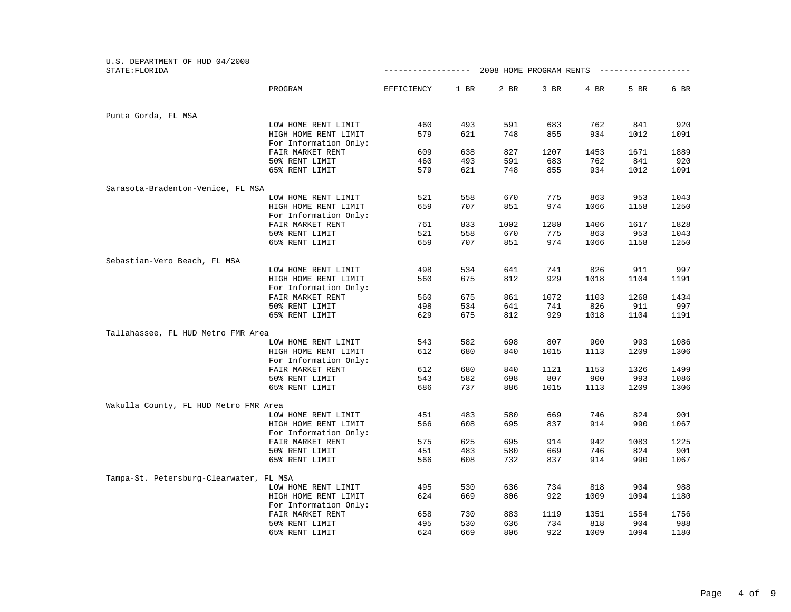| U.S. DEPARTMENT OF HUD 04/2008<br>STATE: FLORIDA |                       | ------------------- |      | 2008 HOME PROGRAM RENTS |      |      |      |      |
|--------------------------------------------------|-----------------------|---------------------|------|-------------------------|------|------|------|------|
|                                                  |                       |                     |      |                         |      |      |      |      |
|                                                  | PROGRAM               | EFFICIENCY          | 1 BR | 2 BR                    | 3 BR | 4 BR | 5 BR | 6 BR |
| Punta Gorda, FL MSA                              |                       |                     |      |                         |      |      |      |      |
|                                                  | LOW HOME RENT LIMIT   | 460                 | 493  | 591                     | 683  | 762  | 841  | 920  |
|                                                  | HIGH HOME RENT LIMIT  | 579                 | 621  | 748                     | 855  | 934  | 1012 | 1091 |
|                                                  | For Information Only: |                     |      |                         |      |      |      |      |
|                                                  | FAIR MARKET RENT      | 609                 | 638  | 827                     | 1207 | 1453 | 1671 | 1889 |
|                                                  | 50% RENT LIMIT        | 460                 | 493  | 591                     | 683  | 762  | 841  | 920  |
|                                                  | 65% RENT LIMIT        | 579                 | 621  | 748                     | 855  | 934  | 1012 | 1091 |
| Sarasota-Bradenton-Venice, FL MSA                |                       |                     |      |                         |      |      |      |      |
|                                                  | LOW HOME RENT LIMIT   | 521                 | 558  | 670                     | 775  | 863  | 953  | 1043 |
|                                                  | HIGH HOME RENT LIMIT  | 659                 | 707  | 851                     | 974  | 1066 | 1158 | 1250 |
|                                                  | For Information Only: |                     |      |                         |      |      |      |      |
|                                                  | FAIR MARKET RENT      | 761                 | 833  | 1002                    | 1280 | 1406 | 1617 | 1828 |
|                                                  | 50% RENT LIMIT        | 521                 | 558  | 670                     | 775  | 863  | 953  | 1043 |
|                                                  | 65% RENT LIMIT        | 659                 | 707  | 851                     | 974  | 1066 | 1158 | 1250 |
| Sebastian-Vero Beach, FL MSA                     |                       |                     |      |                         |      |      |      |      |
|                                                  | LOW HOME RENT LIMIT   | 498                 | 534  | 641                     | 741  | 826  | 911  | 997  |
|                                                  | HIGH HOME RENT LIMIT  | 560                 | 675  | 812                     | 929  | 1018 | 1104 | 1191 |
|                                                  | For Information Only: |                     |      |                         |      |      |      |      |
|                                                  | FAIR MARKET RENT      | 560                 | 675  | 861                     | 1072 | 1103 | 1268 | 1434 |
|                                                  | 50% RENT LIMIT        | 498                 | 534  | 641                     | 741  | 826  | 911  | 997  |
|                                                  | 65% RENT LIMIT        | 629                 | 675  | 812                     | 929  | 1018 | 1104 | 1191 |
| Tallahassee, FL HUD Metro FMR Area               |                       |                     |      |                         |      |      |      |      |
|                                                  | LOW HOME RENT LIMIT   | 543                 | 582  | 698                     | 807  | 900  | 993  | 1086 |
|                                                  | HIGH HOME RENT LIMIT  | 612                 | 680  | 840                     | 1015 | 1113 | 1209 | 1306 |
|                                                  | For Information Only: |                     |      |                         |      |      |      |      |
|                                                  | FAIR MARKET RENT      | 612                 | 680  | 840                     | 1121 | 1153 | 1326 | 1499 |
|                                                  | 50% RENT LIMIT        | 543                 | 582  | 698                     | 807  | 900  | 993  | 1086 |
|                                                  | 65% RENT LIMIT        | 686                 | 737  | 886                     | 1015 | 1113 | 1209 | 1306 |
| Wakulla County, FL HUD Metro FMR Area            |                       |                     |      |                         |      |      |      |      |
|                                                  | LOW HOME RENT LIMIT   | 451                 | 483  | 580                     | 669  | 746  | 824  | 901  |
|                                                  | HIGH HOME RENT LIMIT  | 566                 | 608  | 695                     | 837  | 914  | 990  | 1067 |
|                                                  | For Information Only: |                     |      |                         |      |      |      |      |
|                                                  | FAIR MARKET RENT      | 575                 | 625  | 695                     | 914  | 942  | 1083 | 1225 |
|                                                  | 50% RENT LIMIT        | 451                 | 483  | 580                     | 669  | 746  | 824  | 901  |
|                                                  | 65% RENT LIMIT        | 566                 | 608  | 732                     | 837  | 914  | 990  | 1067 |
| Tampa-St. Petersburg-Clearwater, FL MSA          |                       |                     |      |                         |      |      |      |      |
|                                                  | LOW HOME RENT LIMIT   | 495                 | 530  | 636                     | 734  | 818  | 904  | 988  |
|                                                  | HIGH HOME RENT LIMIT  | 624                 | 669  | 806                     | 922  | 1009 | 1094 | 1180 |
|                                                  | For Information Only: |                     |      |                         |      |      |      |      |
|                                                  | FAIR MARKET RENT      | 658                 | 730  | 883                     | 1119 | 1351 | 1554 | 1756 |
|                                                  | 50% RENT LIMIT        | 495                 | 530  | 636                     | 734  | 818  | 904  | 988  |
|                                                  | 65% RENT LIMIT        | 624                 | 669  | 806                     | 922  | 1009 | 1094 | 1180 |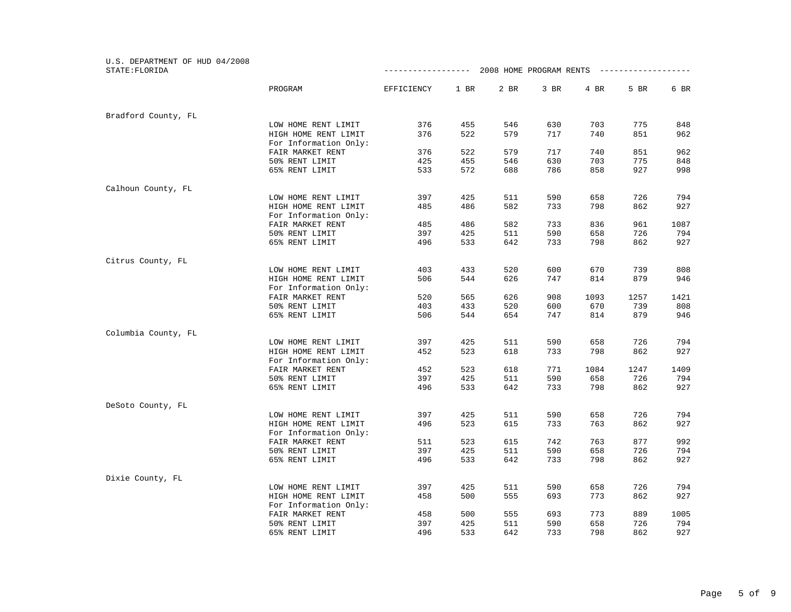| U.S. DEPARTMENT OF HUD 04/2008 |                       |                    |      |      |                         |      |                  |      |
|--------------------------------|-----------------------|--------------------|------|------|-------------------------|------|------------------|------|
| STATE: FLORIDA                 |                       | ------------------ |      |      | 2008 HOME PROGRAM RENTS |      | ---------------- |      |
|                                | PROGRAM               | EFFICIENCY         | 1 BR | 2 BR | 3 BR                    | 4 BR | 5 BR             | 6 BR |
| Bradford County, FL            |                       |                    |      |      |                         |      |                  |      |
|                                | LOW HOME RENT LIMIT   | 376                | 455  | 546  | 630                     | 703  | 775              | 848  |
|                                | HIGH HOME RENT LIMIT  | 376                | 522  | 579  | 717                     | 740  | 851              | 962  |
|                                | For Information Only: |                    |      |      |                         |      |                  |      |
|                                | FAIR MARKET RENT      | 376                | 522  | 579  | 717                     | 740  | 851              | 962  |
|                                | 50% RENT LIMIT        | 425                | 455  | 546  | 630                     | 703  | 775              | 848  |
|                                | 65% RENT LIMIT        | 533                | 572  | 688  | 786                     | 858  | 927              | 998  |
| Calhoun County, FL             |                       |                    |      |      |                         |      |                  |      |
|                                | LOW HOME RENT LIMIT   | 397                | 425  | 511  | 590                     | 658  | 726              | 794  |
|                                | HIGH HOME RENT LIMIT  | 485                | 486  | 582  | 733                     | 798  | 862              | 927  |
|                                | For Information Only: |                    |      |      |                         |      |                  |      |
|                                | FAIR MARKET RENT      | 485                | 486  | 582  | 733                     | 836  | 961              | 1087 |
|                                | 50% RENT LIMIT        | 397                | 425  | 511  | 590                     | 658  | 726              | 794  |
|                                | 65% RENT LIMIT        | 496                | 533  | 642  | 733                     | 798  | 862              | 927  |
| Citrus County, FL              |                       |                    |      |      |                         |      |                  |      |
|                                | LOW HOME RENT LIMIT   | 403                | 433  | 520  | 600                     | 670  | 739              | 808  |
|                                | HIGH HOME RENT LIMIT  | 506                | 544  | 626  | 747                     | 814  | 879              | 946  |
|                                | For Information Only: |                    |      |      |                         |      |                  |      |
|                                | FAIR MARKET RENT      | 520                | 565  | 626  | 908                     | 1093 | 1257             | 1421 |
|                                | 50% RENT LIMIT        | 403                | 433  | 520  | 600                     | 670  | 739              | 808  |
|                                | 65% RENT LIMIT        | 506                | 544  | 654  | 747                     | 814  | 879              | 946  |
| Columbia County, FL            |                       |                    |      |      |                         |      |                  |      |
|                                | LOW HOME RENT LIMIT   | 397                | 425  | 511  | 590                     | 658  | 726              | 794  |
|                                | HIGH HOME RENT LIMIT  | 452                | 523  | 618  | 733                     | 798  | 862              | 927  |
|                                | For Information Only: |                    |      |      |                         |      |                  |      |
|                                | FAIR MARKET RENT      | 452                | 523  | 618  | 771                     | 1084 | 1247             | 1409 |
|                                | 50% RENT LIMIT        | 397                | 425  | 511  | 590                     | 658  | 726              | 794  |
|                                | 65% RENT LIMIT        | 496                | 533  | 642  | 733                     | 798  | 862              | 927  |
| DeSoto County, FL              |                       |                    |      |      |                         |      |                  |      |
|                                | LOW HOME RENT LIMIT   | 397                | 425  | 511  | 590                     | 658  | 726              | 794  |
|                                | HIGH HOME RENT LIMIT  | 496                | 523  | 615  | 733                     | 763  | 862              | 927  |
|                                | For Information Only: |                    |      |      |                         |      |                  |      |
|                                | FAIR MARKET RENT      | 511                | 523  | 615  | 742                     | 763  | 877              | 992  |
|                                | 50% RENT LIMIT        | 397                | 425  | 511  | 590                     | 658  | 726              | 794  |
|                                | 65% RENT LIMIT        | 496                | 533  | 642  | 733                     | 798  | 862              | 927  |
| Dixie County, FL               |                       |                    |      |      |                         |      |                  |      |
|                                | LOW HOME RENT LIMIT   | 397                | 425  | 511  | 590                     | 658  | 726              | 794  |
|                                | HIGH HOME RENT LIMIT  | 458                | 500  | 555  | 693                     | 773  | 862              | 927  |
|                                | For Information Only: |                    |      |      |                         |      |                  |      |
|                                | FAIR MARKET RENT      | 458                | 500  | 555  | 693                     | 773  | 889              | 1005 |
|                                | 50% RENT LIMIT        | 397                | 425  | 511  | 590                     | 658  | 726              | 794  |
|                                | 65% RENT LIMIT        | 496                | 533  | 642  | 733                     | 798  | 862              | 927  |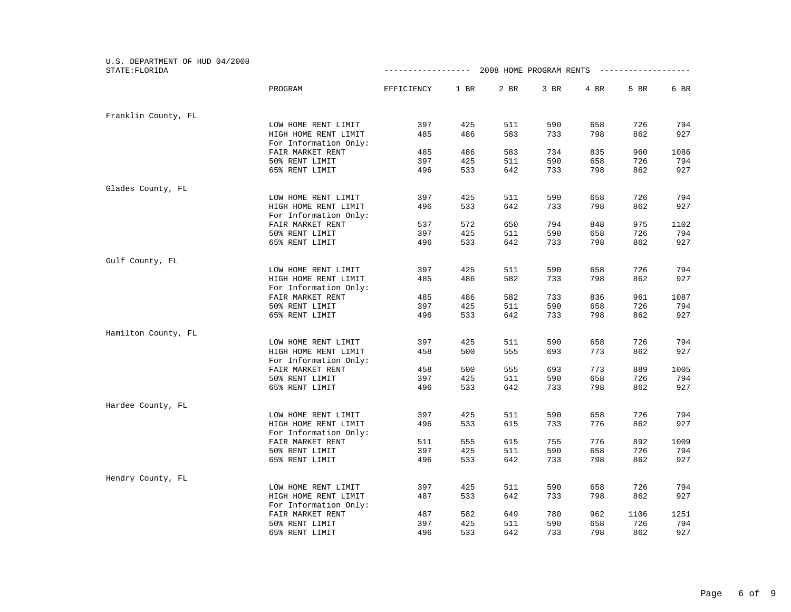| U.S. DEPARTMENT OF HUD 04/2008 |                                               |                    |      |      |      |                                        |      |      |
|--------------------------------|-----------------------------------------------|--------------------|------|------|------|----------------------------------------|------|------|
| STATE: FLORIDA                 |                                               | ------------------ |      |      |      | 2008 HOME PROGRAM RENTS -------------- |      |      |
|                                | PROGRAM                                       | EFFICIENCY         | 1 BR | 2 BR | 3 BR | 4 BR                                   | 5 BR | 6 BR |
| Franklin County, FL            |                                               |                    |      |      |      |                                        |      |      |
|                                | LOW HOME RENT LIMIT                           | 397                | 425  | 511  | 590  | 658                                    | 726  | 794  |
|                                | HIGH HOME RENT LIMIT                          | 485                | 486  | 583  | 733  | 798                                    | 862  | 927  |
|                                | For Information Only:                         |                    |      |      |      |                                        |      |      |
|                                | FAIR MARKET RENT                              | 485                | 486  | 583  | 734  | 835                                    | 960  | 1086 |
|                                | 50% RENT LIMIT                                | 397                | 425  | 511  | 590  | 658                                    | 726  | 794  |
|                                | 65% RENT LIMIT                                | 496                | 533  | 642  | 733  | 798                                    | 862  | 927  |
| Glades County, FL              |                                               |                    |      |      |      |                                        |      |      |
|                                | LOW HOME RENT LIMIT                           | 397                | 425  | 511  | 590  | 658                                    | 726  | 794  |
|                                | HIGH HOME RENT LIMIT<br>For Information Only: | 496                | 533  | 642  | 733  | 798                                    | 862  | 927  |
|                                | FAIR MARKET RENT                              | 537                | 572  | 650  | 794  | 848                                    | 975  | 1102 |
|                                | 50% RENT LIMIT                                | 397                | 425  | 511  | 590  | 658                                    | 726  | 794  |
|                                | 65% RENT LIMIT                                | 496                | 533  | 642  | 733  | 798                                    | 862  | 927  |
|                                |                                               |                    |      |      |      |                                        |      |      |
| Gulf County, FL                |                                               |                    |      |      |      |                                        |      |      |
|                                | LOW HOME RENT LIMIT                           | 397                | 425  | 511  | 590  | 658                                    | 726  | 794  |
|                                | HIGH HOME RENT LIMIT<br>For Information Only: | 485                | 486  | 582  | 733  | 798                                    | 862  | 927  |
|                                | FAIR MARKET RENT                              | 485                | 486  | 582  | 733  | 836                                    | 961  | 1087 |
|                                | 50% RENT LIMIT                                | 397                | 425  | 511  | 590  | 658                                    | 726  | 794  |
|                                | 65% RENT LIMIT                                | 496                | 533  | 642  | 733  | 798                                    | 862  | 927  |
| Hamilton County, FL            |                                               |                    |      |      |      |                                        |      |      |
|                                | LOW HOME RENT LIMIT                           | 397                | 425  | 511  | 590  | 658                                    | 726  | 794  |
|                                | HIGH HOME RENT LIMIT                          | 458                | 500  | 555  | 693  | 773                                    | 862  | 927  |
|                                | For Information Only:                         |                    |      |      |      |                                        |      |      |
|                                | FAIR MARKET RENT                              | 458                | 500  | 555  | 693  | 773                                    | 889  | 1005 |
|                                | 50% RENT LIMIT                                | 397                | 425  | 511  | 590  | 658                                    | 726  | 794  |
|                                | 65% RENT LIMIT                                | 496                | 533  | 642  | 733  | 798                                    | 862  | 927  |
| Hardee County, FL              |                                               |                    |      |      |      |                                        |      |      |
|                                | LOW HOME RENT LIMIT                           | 397                | 425  | 511  | 590  | 658                                    | 726  | 794  |
|                                | HIGH HOME RENT LIMIT                          | 496                | 533  | 615  | 733  | 776                                    | 862  | 927  |
|                                | For Information Only:                         |                    |      |      |      |                                        |      |      |
|                                | FAIR MARKET RENT                              | 511                | 555  | 615  | 755  | 776                                    | 892  | 1009 |
|                                | 50% RENT LIMIT                                | 397                | 425  | 511  | 590  | 658                                    | 726  | 794  |
|                                | 65% RENT LIMIT                                | 496                | 533  | 642  | 733  | 798                                    | 862  | 927  |
| Hendry County, FL              |                                               |                    |      |      |      |                                        |      |      |
|                                | LOW HOME RENT LIMIT                           | 397                | 425  | 511  | 590  | 658                                    | 726  | 794  |
|                                | HIGH HOME RENT LIMIT                          | 487                | 533  | 642  | 733  | 798                                    | 862  | 927  |
|                                | For Information Only:                         |                    |      |      |      |                                        |      |      |
|                                | FAIR MARKET RENT                              | 487                | 582  | 649  | 780  | 962                                    | 1106 | 1251 |
|                                | 50% RENT LIMIT                                | 397                | 425  | 511  | 590  | 658                                    | 726  | 794  |
|                                | 65% RENT LIMIT                                | 496                | 533  | 642  | 733  | 798                                    | 862  | 927  |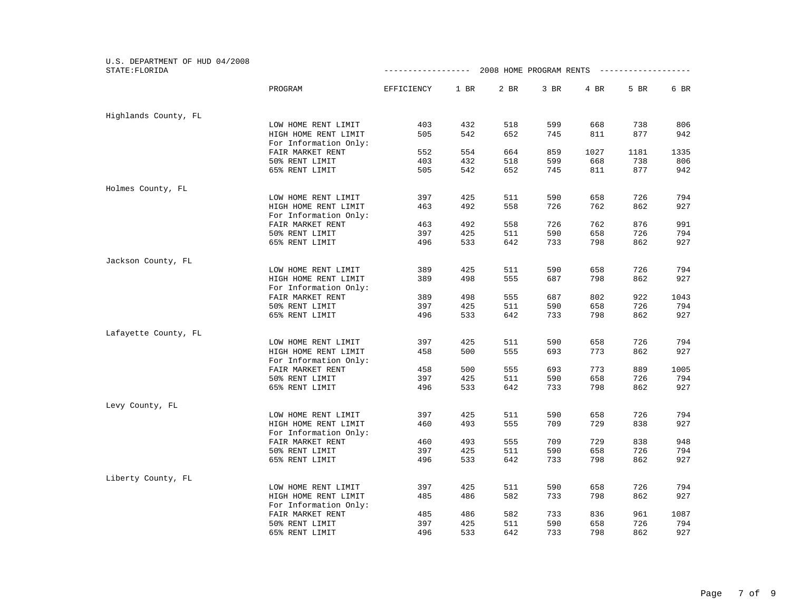| U.S. DEPARTMENT OF HUD 04/2008<br>STATE: FLORIDA |                                               | ------------------ |      | 2008 HOME PROGRAM RENTS |      |      | ____________________ |      |
|--------------------------------------------------|-----------------------------------------------|--------------------|------|-------------------------|------|------|----------------------|------|
|                                                  | PROGRAM                                       | EFFICIENCY         | 1 BR | 2 BR                    | 3 BR | 4 BR | 5 BR                 | 6 BR |
| Highlands County, FL                             |                                               |                    |      |                         |      |      |                      |      |
|                                                  | LOW HOME RENT LIMIT                           | 403                | 432  | 518                     | 599  | 668  | 738                  | 806  |
|                                                  | HIGH HOME RENT LIMIT<br>For Information Only: | 505                | 542  | 652                     | 745  | 811  | 877                  | 942  |
|                                                  | FAIR MARKET RENT                              | 552                | 554  | 664                     | 859  | 1027 | 1181                 | 1335 |
|                                                  | 50% RENT LIMIT                                | 403                | 432  | 518                     | 599  | 668  | 738                  | 806  |
|                                                  | 65% RENT LIMIT                                | 505                | 542  | 652                     | 745  | 811  | 877                  | 942  |
| Holmes County, FL                                |                                               |                    |      |                         |      |      |                      |      |
|                                                  | LOW HOME RENT LIMIT                           | 397                | 425  | 511                     | 590  | 658  | 726                  | 794  |
|                                                  | HIGH HOME RENT LIMIT<br>For Information Only: | 463                | 492  | 558                     | 726  | 762  | 862                  | 927  |
|                                                  | FAIR MARKET RENT                              | 463                | 492  | 558                     | 726  | 762  | 876                  | 991  |
|                                                  | 50% RENT LIMIT                                | 397                | 425  | 511                     | 590  | 658  | 726                  | 794  |
|                                                  | 65% RENT LIMIT                                | 496                | 533  | 642                     | 733  | 798  | 862                  | 927  |
| Jackson County, FL                               |                                               |                    |      |                         |      |      |                      |      |
|                                                  | LOW HOME RENT LIMIT                           | 389                | 425  | 511                     | 590  | 658  | 726                  | 794  |
|                                                  | HIGH HOME RENT LIMIT                          | 389                | 498  | 555                     | 687  | 798  | 862                  | 927  |
|                                                  | For Information Only:                         |                    |      |                         |      |      |                      |      |
|                                                  | FAIR MARKET RENT                              | 389                | 498  | 555                     | 687  | 802  | 922                  | 1043 |
|                                                  | 50% RENT LIMIT                                | 397                | 425  | 511                     | 590  | 658  | 726                  | 794  |
|                                                  | 65% RENT LIMIT                                | 496                | 533  | 642                     | 733  | 798  | 862                  | 927  |
| Lafayette County, FL                             |                                               |                    |      |                         |      |      |                      |      |
|                                                  | LOW HOME RENT LIMIT                           | 397                | 425  | 511                     | 590  | 658  | 726                  | 794  |
|                                                  | HIGH HOME RENT LIMIT<br>For Information Only: | 458                | 500  | 555                     | 693  | 773  | 862                  | 927  |
|                                                  | FAIR MARKET RENT                              | 458                | 500  | 555                     | 693  | 773  | 889                  | 1005 |
|                                                  | 50% RENT LIMIT                                | 397                | 425  | 511                     | 590  | 658  | 726                  | 794  |
|                                                  | 65% RENT LIMIT                                | 496                | 533  | 642                     | 733  | 798  | 862                  | 927  |
| Levy County, FL                                  |                                               |                    |      |                         |      |      |                      |      |
|                                                  | LOW HOME RENT LIMIT                           | 397                | 425  | 511                     | 590  | 658  | 726                  | 794  |
|                                                  | HIGH HOME RENT LIMIT                          | 460                | 493  | 555                     | 709  | 729  | 838                  | 927  |
|                                                  | For Information Only:                         |                    |      |                         |      |      |                      |      |
|                                                  | FAIR MARKET RENT                              | 460                | 493  | 555                     | 709  | 729  | 838                  | 948  |
|                                                  | 50% RENT LIMIT                                | 397                | 425  | 511                     | 590  | 658  | 726                  | 794  |
|                                                  | 65% RENT LIMIT                                | 496                | 533  | 642                     | 733  | 798  | 862                  | 927  |
| Liberty County, FL                               |                                               |                    |      |                         |      |      |                      |      |
|                                                  | LOW HOME RENT LIMIT                           | 397                | 425  | 511                     | 590  | 658  | 726                  | 794  |
|                                                  | HIGH HOME RENT LIMIT<br>For Information Only: | 485                | 486  | 582                     | 733  | 798  | 862                  | 927  |
|                                                  | FAIR MARKET RENT                              | 485                | 486  | 582                     | 733  | 836  | 961                  | 1087 |
|                                                  | 50% RENT LIMIT                                | 397                | 425  | 511                     | 590  | 658  | 726                  | 794  |
|                                                  | 65% RENT LIMIT                                | 496                | 533  | 642                     | 733  | 798  | 862                  | 927  |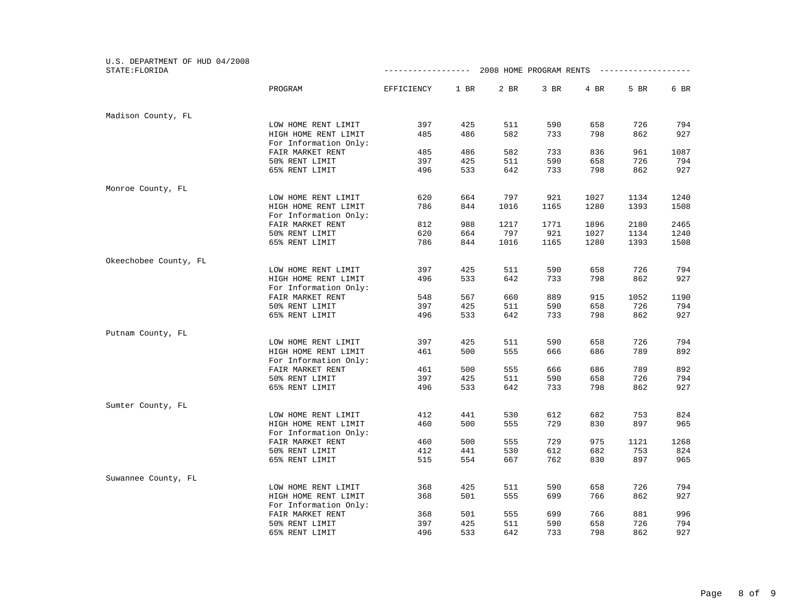| U.S. DEPARTMENT OF HUD 04/2008 |                                               |                    |      |      |                                         |      |      |      |
|--------------------------------|-----------------------------------------------|--------------------|------|------|-----------------------------------------|------|------|------|
| STATE: FLORIDA                 |                                               | ------------------ |      |      | 2008 HOME PROGRAM RENTS --------------- |      |      |      |
|                                | PROGRAM                                       | EFFICIENCY         | 1 BR | 2 BR | 3 BR                                    | 4 BR | 5 BR | 6 BR |
| Madison County, FL             |                                               |                    |      |      |                                         |      |      |      |
|                                | LOW HOME RENT LIMIT                           | 397                | 425  | 511  | 590                                     | 658  | 726  | 794  |
|                                | HIGH HOME RENT LIMIT                          | 485                | 486  | 582  | 733                                     | 798  | 862  | 927  |
|                                | For Information Only:                         |                    |      |      |                                         |      |      |      |
|                                | FAIR MARKET RENT                              | 485                | 486  | 582  | 733                                     | 836  | 961  | 1087 |
|                                | 50% RENT LIMIT                                | 397                | 425  | 511  | 590                                     | 658  | 726  | 794  |
|                                | 65% RENT LIMIT                                | 496                | 533  | 642  | 733                                     | 798  | 862  | 927  |
| Monroe County, FL              |                                               |                    |      |      |                                         |      |      |      |
|                                | LOW HOME RENT LIMIT                           | 620                | 664  | 797  | 921                                     | 1027 | 1134 | 1240 |
|                                | HIGH HOME RENT LIMIT                          | 786                | 844  | 1016 | 1165                                    | 1280 | 1393 | 1508 |
|                                | For Information Only:                         |                    |      |      |                                         |      |      |      |
|                                | FAIR MARKET RENT                              | 812                | 988  | 1217 | 1771                                    | 1896 | 2180 | 2465 |
|                                | 50% RENT LIMIT                                | 620                | 664  | 797  | 921                                     | 1027 | 1134 | 1240 |
|                                | 65% RENT LIMIT                                | 786                | 844  | 1016 | 1165                                    | 1280 | 1393 | 1508 |
| Okeechobee County, FL          |                                               |                    |      |      |                                         |      |      |      |
|                                | LOW HOME RENT LIMIT                           | 397                | 425  | 511  | 590                                     | 658  | 726  | 794  |
|                                | HIGH HOME RENT LIMIT<br>For Information Only: | 496                | 533  | 642  | 733                                     | 798  | 862  | 927  |
|                                | FAIR MARKET RENT                              | 548                | 567  | 660  | 889                                     | 915  | 1052 | 1190 |
|                                | 50% RENT LIMIT                                | 397                | 425  | 511  | 590                                     | 658  | 726  | 794  |
|                                | 65% RENT LIMIT                                | 496                | 533  | 642  | 733                                     | 798  | 862  | 927  |
| Putnam County, FL              |                                               |                    |      |      |                                         |      |      |      |
|                                | LOW HOME RENT LIMIT                           | 397                | 425  | 511  | 590                                     | 658  | 726  | 794  |
|                                | HIGH HOME RENT LIMIT                          | 461                | 500  | 555  | 666                                     | 686  | 789  | 892  |
|                                | For Information Only:                         |                    |      |      |                                         |      |      |      |
|                                | FAIR MARKET RENT                              | 461                | 500  | 555  | 666                                     | 686  | 789  | 892  |
|                                | 50% RENT LIMIT                                | 397                | 425  | 511  | 590                                     | 658  | 726  | 794  |
|                                | 65% RENT LIMIT                                | 496                | 533  | 642  | 733                                     | 798  | 862  | 927  |
| Sumter County, FL              |                                               |                    |      |      |                                         |      |      |      |
|                                | LOW HOME RENT LIMIT                           | 412                | 441  | 530  | 612                                     | 682  | 753  | 824  |
|                                | HIGH HOME RENT LIMIT                          | 460                | 500  | 555  | 729                                     | 830  | 897  | 965  |
|                                | For Information Only:                         |                    |      |      |                                         |      |      |      |
|                                | FAIR MARKET RENT                              | 460                | 500  | 555  | 729                                     | 975  | 1121 | 1268 |
|                                | 50% RENT LIMIT                                | 412                | 441  | 530  | 612                                     | 682  | 753  | 824  |
|                                | 65% RENT LIMIT                                | 515                | 554  | 667  | 762                                     | 830  | 897  | 965  |
| Suwannee County, FL            |                                               |                    |      |      |                                         |      |      |      |
|                                | LOW HOME RENT LIMIT                           | 368                | 425  | 511  | 590                                     | 658  | 726  | 794  |
|                                | HIGH HOME RENT LIMIT                          | 368                | 501  | 555  | 699                                     | 766  | 862  | 927  |
|                                | For Information Only:                         |                    |      |      |                                         |      |      |      |
|                                | FAIR MARKET RENT                              | 368                | 501  | 555  | 699                                     | 766  | 881  | 996  |
|                                | 50% RENT LIMIT                                | 397                | 425  | 511  | 590                                     | 658  | 726  | 794  |
|                                | 65% RENT LIMIT                                | 496                | 533  | 642  | 733                                     | 798  | 862  | 927  |